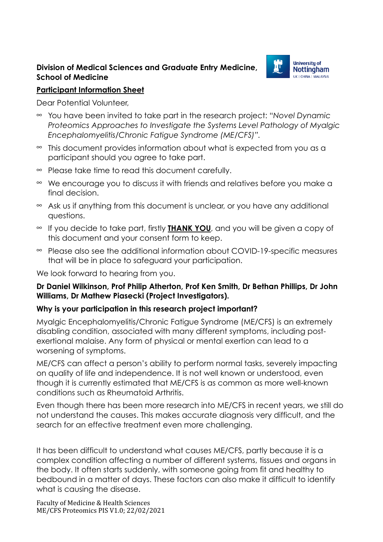### **Division of Medical Sciences and Graduate Entry Medicine, School of Medicine**



#### **Participant Information Sheet**

Dear Potential Volunteer,

- You have been invited to take part in the research project: "*Novel Dynamic Proteomics Approaches to Investigate the Systems Level Pathology of Myalgic Encephalomyelitis/Chronic Fatigue Syndrome (ME/CFS)".*
- $\infty$  This document provides information about what is expected from you as a participant should you agree to take part.
- $\infty$  Please take time to read this document carefully.
- We encourage you to discuss it with friends and relatives before you make a final decision.
- $\infty$  Ask us if anything from this document is unclear, or you have any additional questions.
- If you decide to take part, firstly **THANK YOU**, and you will be given a copy of this document and your consent form to keep.
- $\approx$  Please also see the additional information about COVID-19-specific measures that will be in place to safeguard your participation.

We look forward to hearing from you.

### **Dr Daniel Wilkinson, Prof Philip Atherton, Prof Ken Smith, Dr Bethan Phillips, Dr John Williams, Dr Mathew Piasecki (Project Investigators).**

### **Why is your participation in this research project important?**

Myalgic Encephalomyelitis/Chronic Fatigue Syndrome (ME/CFS) is an extremely disabling condition, associated with many different symptoms, including postexertional malaise. Any form of physical or mental exertion can lead to a worsening of symptoms.

ME/CFS can affect a person's ability to perform normal tasks, severely impacting on quality of life and independence. It is not well known or understood, even though it is currently estimated that ME/CFS is as common as more well-known conditions such as Rheumatoid Arthritis.

Even though there has been more research into ME/CFS in recent years, we still do not understand the causes. This makes accurate diagnosis very difficult, and the search for an effective treatment even more challenging.

It has been difficult to understand what causes ME/CFS, partly because it is a complex condition affecting a number of different systems, tissues and organs in the body. It often starts suddenly, with someone going from fit and healthy to bedbound in a matter of days. These factors can also make it difficult to identify what is causing the disease.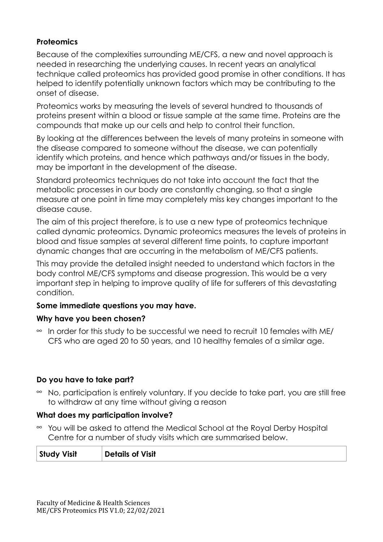### **Proteomics**

Because of the complexities surrounding ME/CFS, a new and novel approach is needed in researching the underlying causes. In recent years an analytical technique called proteomics has provided good promise in other conditions. It has helped to identify potentially unknown factors which may be contributing to the onset of disease.

Proteomics works by measuring the levels of several hundred to thousands of proteins present within a blood or tissue sample at the same time. Proteins are the compounds that make up our cells and help to control their function.

By looking at the differences between the levels of many proteins in someone with the disease compared to someone without the disease, we can potentially identify which proteins, and hence which pathways and/or tissues in the body, may be important in the development of the disease.

Standard proteomics techniques do not take into account the fact that the metabolic processes in our body are constantly changing, so that a single measure at one point in time may completely miss key changes important to the disease cause.

The aim of this project therefore, is to use a new type of proteomics technique called dynamic proteomics. Dynamic proteomics measures the levels of proteins in blood and tissue samples at several different time points, to capture important dynamic changes that are occurring in the metabolism of ME/CFS patients.

This may provide the detailed insight needed to understand which factors in the body control ME/CFS symptoms and disease progression. This would be a very important step in helping to improve quality of life for sufferers of this devastating condition.

### **Some immediate questions you may have.**

### **Why have you been chosen?**

 $\infty$  In order for this study to be successful we need to recruit 10 females with ME/ CFS who are aged 20 to 50 years, and 10 healthy females of a similar age.

### **Do you have to take part?**

 $\approx$  No, participation is entirely voluntary. If you decide to take part, you are still free to withdraw at any time without giving a reason

### **What does my participation involve?**

• You will be asked to attend the Medical School at the Royal Derby Hospital Centre for a number of study visits which are summarised below.

| Study Visit | Details of Visit |
|-------------|------------------|
|-------------|------------------|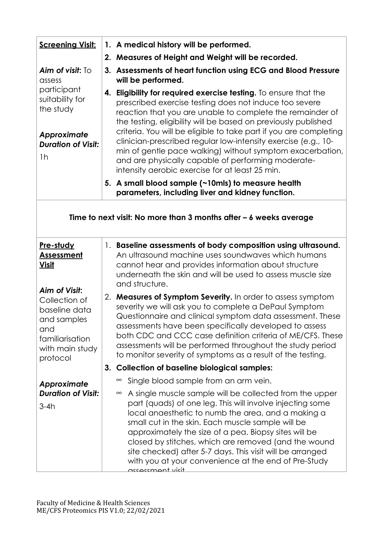| <b>Screening Visit:</b>                                                                                   |  | 1. A medical history will be performed.                                                                                                                                                                                                                                                                                                                                                                                                                                                                                                                                |  |  |
|-----------------------------------------------------------------------------------------------------------|--|------------------------------------------------------------------------------------------------------------------------------------------------------------------------------------------------------------------------------------------------------------------------------------------------------------------------------------------------------------------------------------------------------------------------------------------------------------------------------------------------------------------------------------------------------------------------|--|--|
|                                                                                                           |  | 2. Measures of Height and Weight will be recorded.                                                                                                                                                                                                                                                                                                                                                                                                                                                                                                                     |  |  |
| Aim of visit: To<br>assess                                                                                |  | 3. Assessments of heart function using ECG and Blood Pressure<br>will be performed.                                                                                                                                                                                                                                                                                                                                                                                                                                                                                    |  |  |
| participant<br>suitability for<br>the study<br>Approximate<br><b>Duration of Visit:</b><br>1 <sub>h</sub> |  | 4. Eligibility for required exercise testing. To ensure that the<br>prescribed exercise testing does not induce too severe<br>reaction that you are unable to complete the remainder of<br>the testing, eligibility will be based on previously published<br>criteria. You will be eligible to take part if you are completing<br>clinician-prescribed regular low-intensity exercise (e.g., 10-<br>min of gentle pace walking) without symptom exacerbation,<br>and are physically capable of performing moderate-<br>intensity aerobic exercise for at least 25 min. |  |  |
|                                                                                                           |  | 5. A small blood sample (~10mls) to measure health<br>parameters, including liver and kidney function.                                                                                                                                                                                                                                                                                                                                                                                                                                                                 |  |  |
| Time to next visit: No more than 3 months after $-6$ weeks average                                        |  |                                                                                                                                                                                                                                                                                                                                                                                                                                                                                                                                                                        |  |  |
| Pre-study<br><b>Assessment</b><br><u>Visit</u><br>Aim of Visit:                                           |  | 1. Baseline assessments of body composition using ultrasound.<br>An ultrasound machine uses soundwaves which humans<br>cannot hear and provides information about structure<br>underneath the skin and will be used to assess muscle size<br>and structure.                                                                                                                                                                                                                                                                                                            |  |  |
| Collection of<br>baseline data<br>and samples<br>and<br>familiarisation<br>with main study<br>protocol    |  | 2. Measures of Symptom Severity. In order to assess symptom<br>severity we will ask you to complete a DePaul Symptom<br>Questionnaire and clinical symptom data assessment. These<br>assessments have been specifically developed to assess<br>both CDC and CCC case definition criteria of ME/CFS. These<br>assessments will be performed throughout the study period<br>to monitor severity of symptoms as a result of the testing.                                                                                                                                  |  |  |
|                                                                                                           |  | 3. Collection of baseline biological samples:                                                                                                                                                                                                                                                                                                                                                                                                                                                                                                                          |  |  |
| Approximate                                                                                               |  | Single blood sample from an arm vein.<br>$\infty$                                                                                                                                                                                                                                                                                                                                                                                                                                                                                                                      |  |  |
| <b>Duration of Visit:</b><br>$3-4h$                                                                       |  | A single muscle sample will be collected from the upper<br>$\infty$<br>part (quads) of one leg. This will involve injecting some<br>local anaesthetic to numb the area, and a making a<br>small cut in the skin. Each muscle sample will be<br>approximately the size of a pea. Biopsy sites will be<br>closed by stitches, which are removed (and the wound<br>site checked) after 5-7 days. This visit will be arranged<br>with you at your convenience at the end of Pre-Study<br>nccaccmant vicit                                                                  |  |  |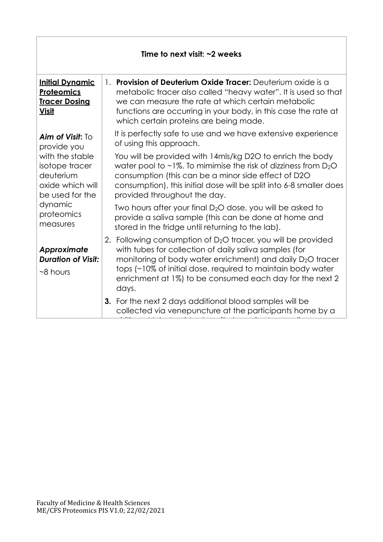| Time to next visit: $\sim$ 2 weeks                                                                                                                                     |                                                                                                                                                                                                                                                                                                                                         |  |  |  |
|------------------------------------------------------------------------------------------------------------------------------------------------------------------------|-----------------------------------------------------------------------------------------------------------------------------------------------------------------------------------------------------------------------------------------------------------------------------------------------------------------------------------------|--|--|--|
| <b>Initial Dynamic</b><br><b>Proteomics</b><br><b>Tracer Dosing</b><br><b>Visit</b>                                                                                    | 1. Provision of Deuterium Oxide Tracer: Deuterium oxide is a<br>metabolic tracer also called "heavy water". It is used so that<br>we can measure the rate at which certain metabolic<br>functions are occurring in your body, in this case the rate at<br>which certain proteins are being made.                                        |  |  |  |
| Aim of Visit: $\text{To}$<br>provide you<br>with the stable<br>isotope tracer<br>deuterium<br>oxide which will<br>be used for the<br>dynamic<br>proteomics<br>measures | It is perfectly safe to use and we have extensive experience<br>of using this approach.                                                                                                                                                                                                                                                 |  |  |  |
|                                                                                                                                                                        | You will be provided with 14mls/kg D2O to enrich the body<br>water pool to $\sim$ 1%. To mimimise the risk of dizziness from D <sub>2</sub> O<br>consumption (this can be a minor side effect of D2O<br>consumption), this initial dose will be split into 6-8 smaller does<br>provided throughout the day.                             |  |  |  |
|                                                                                                                                                                        | Two hours after your final $D_2O$ dose, you will be asked to<br>provide a saliva sample (this can be done at home and<br>stored in the fridge until returning to the lab).                                                                                                                                                              |  |  |  |
| Approximate<br><b>Duration of Visit:</b><br>$~8$ hours                                                                                                                 | 2. Following consumption of $D_2O$ tracer, you will be provided<br>with tubes for collection of daily saliva samples (for<br>monitoring of body water enrichment) and daily D <sub>2</sub> O tracer<br>tops (~10% of initial dose, required to maintain body water<br>enrichment at 1%) to be consumed each day for the next 2<br>days. |  |  |  |
|                                                                                                                                                                        | 3. For the next 2 days additional blood samples will be<br>collected via venepuncture at the participants home by a                                                                                                                                                                                                                     |  |  |  |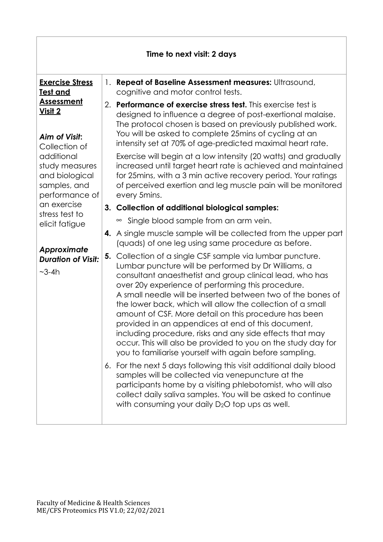| Time to next visit: 2 days                                                                                                                                                                                                                                                                                |  |                                                                                                                                                                                                                                                                                                                                                                                                                                                                                                                                                                                                                                                                                                                                                                                                                                                                                                                                                                                                                                                                                                                                                                                                                                                                                                                                                                                                                                                                                                                                                                                                                                                                                                                                                                                                                                                                                                                                        |  |  |
|-----------------------------------------------------------------------------------------------------------------------------------------------------------------------------------------------------------------------------------------------------------------------------------------------------------|--|----------------------------------------------------------------------------------------------------------------------------------------------------------------------------------------------------------------------------------------------------------------------------------------------------------------------------------------------------------------------------------------------------------------------------------------------------------------------------------------------------------------------------------------------------------------------------------------------------------------------------------------------------------------------------------------------------------------------------------------------------------------------------------------------------------------------------------------------------------------------------------------------------------------------------------------------------------------------------------------------------------------------------------------------------------------------------------------------------------------------------------------------------------------------------------------------------------------------------------------------------------------------------------------------------------------------------------------------------------------------------------------------------------------------------------------------------------------------------------------------------------------------------------------------------------------------------------------------------------------------------------------------------------------------------------------------------------------------------------------------------------------------------------------------------------------------------------------------------------------------------------------------------------------------------------------|--|--|
| <b>Exercise Stress</b><br><b>Test and</b><br><u>Assessment</u><br>Visit 2<br>Aim of Visit:<br>Collection of<br>additional<br>study measures<br>and biological<br>samples, and<br>performance of<br>an exercise<br>stress test to<br>elicit fatigue<br>Approximate<br><b>Duration of Visit:</b><br>$-3-4h$ |  | 1. Repeat of Baseline Assessment measures: Ultrasound,<br>cognitive and motor control tests.<br>2. Performance of exercise stress test. This exercise test is<br>designed to influence a degree of post-exertional malaise.<br>The protocol chosen is based on previously published work.<br>You will be asked to complete 25mins of cycling at an<br>intensity set at 70% of age-predicted maximal heart rate.<br>Exercise will begin at a low intensity (20 watts) and gradually<br>increased until target heart rate is achieved and maintained<br>for 25 mins, with a 3 min active recovery period. Your ratings<br>of perceived exertion and leg muscle pain will be monitored<br>every 5 mins.<br>3. Collection of additional biological samples:<br>Single blood sample from an arm vein.<br>$\infty$<br>4. A single muscle sample will be collected from the upper part<br>(quads) of one leg using same procedure as before.<br>5. Collection of a single CSF sample via lumbar puncture.<br>Lumbar puncture will be performed by Dr Williams, a<br>consultant anaesthetist and group clinical lead, who has<br>over 20y experience of performing this procedure.<br>A small needle will be inserted between two of the bones of<br>the lower back, which will allow the collection of a small<br>amount of CSF. More detail on this procedure has been<br>provided in an appendices at end of this document,<br>including procedure, risks and any side effects that may<br>occur. This will also be provided to you on the study day for<br>you to familiarise yourself with again before sampling.<br>6. For the next 5 days following this visit additional daily blood<br>samples will be collected via venepuncture at the<br>participants home by a visiting phlebotomist, who will also<br>collect daily saliva samples. You will be asked to continue<br>with consuming your daily D <sub>2</sub> O top ups as well. |  |  |
|                                                                                                                                                                                                                                                                                                           |  |                                                                                                                                                                                                                                                                                                                                                                                                                                                                                                                                                                                                                                                                                                                                                                                                                                                                                                                                                                                                                                                                                                                                                                                                                                                                                                                                                                                                                                                                                                                                                                                                                                                                                                                                                                                                                                                                                                                                        |  |  |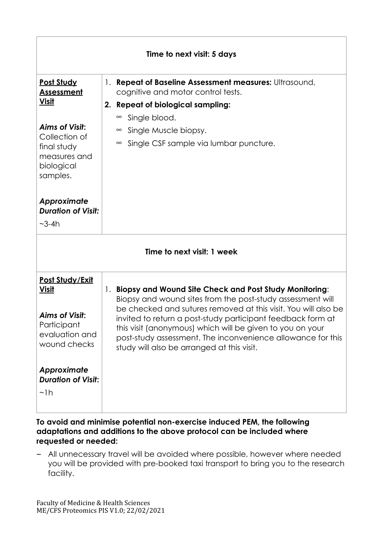| Time to next visit: 5 days                                                                                                                                               |                                                                                                                                                                                                                                                                                                                                                                                                                                    |  |  |  |
|--------------------------------------------------------------------------------------------------------------------------------------------------------------------------|------------------------------------------------------------------------------------------------------------------------------------------------------------------------------------------------------------------------------------------------------------------------------------------------------------------------------------------------------------------------------------------------------------------------------------|--|--|--|
| <b>Post Study</b><br><b>Assessment</b><br><u>Visit</u><br><b>Aims of Visit:</b><br>Collection of<br>final study<br>measures and<br>biological<br>samples.<br>Approximate | 1. Repeat of Baseline Assessment measures: Ultrasound,<br>cognitive and motor control tests.<br>2. Repeat of biological sampling:<br>Single blood.<br>$\infty$<br>Single Muscle biopsy.<br>$\infty$<br>Single CSF sample via lumbar puncture.<br>$\infty$                                                                                                                                                                          |  |  |  |
| <b>Duration of Visit:</b><br>$-3-4h$                                                                                                                                     |                                                                                                                                                                                                                                                                                                                                                                                                                                    |  |  |  |
| Time to next visit: 1 week                                                                                                                                               |                                                                                                                                                                                                                                                                                                                                                                                                                                    |  |  |  |
| Post Study/Exit<br><b>Visit</b><br><b>Aims of Visit:</b><br>Participant<br>evaluation and<br>wound checks<br>Approximate<br><b>Duration of Visit:</b><br>$\nu$ lh        | 1. Biopsy and Wound Site Check and Post Study Monitoring:<br>Biopsy and wound sites from the post-study assessment will<br>be checked and sutures removed at this visit. You will also be<br>invited to return a post-study participant feedback form at<br>this visit (anonymous) which will be given to you on your<br>post-study assessment. The inconvenience allowance for this<br>study will also be arranged at this visit. |  |  |  |

**To avoid and minimise potential non-exercise induced PEM, the following adaptations and additions to the above protocol can be included where requested or needed:**

− All unnecessary travel will be avoided where possible, however where needed you will be provided with pre-booked taxi transport to bring you to the research facility.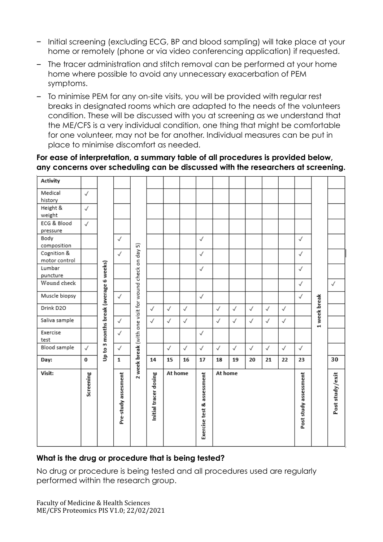- − Initial screening (excluding ECG, BP and blood sampling) will take place at your home or remotely (phone or via video conferencing application) if requested.
- − The tracer administration and stitch removal can be performed at your home home where possible to avoid any unnecessary exacerbation of PEM symptoms.
- − To minimise PEM for any on-site visits, you will be provided with regular rest breaks in designated rooms which are adapted to the needs of the volunteers condition. These will be discussed with you at screening as we understand that the ME/CFS is a very individual condition, one thing that might be comfortable for one volunteer, may not be for another. Individual measures can be put in place to minimise discomfort as needed.

#### **For ease of interpretation, a summary table of all procedures is provided below, any concerns over scheduling can be discussed with the researchers at screening.**

#### **What is the drug or procedure that is being tested?**

No drug or procedure is being tested and all procedures used are regularly performed within the research group.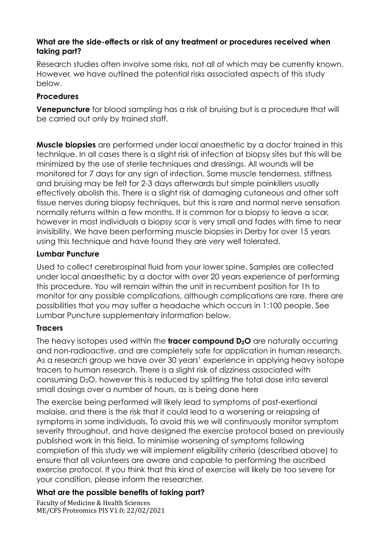### **What are the side-effects or risk of any treatment or procedures received when taking part?**

Research studies often involve some risks, not all of which may be currently known. However, we have outlined the potential risks associated aspects of this study below.

### **Procedures**

**Venepuncture** for blood sampling has a risk of bruising but is a procedure that will be carried out only by trained staff.

**Muscle biopsies** are performed under local anaesthetic by a doctor trained in this technique. In all cases there is a slight risk of infection at biopsy sites but this will be minimized by the use of sterile techniques and dressings. All wounds will be monitored for 7 days for any sign of infection. Some muscle tenderness, stiffness and bruising may be felt for 2-3 days afterwards but simple painkillers usually effectively abolish this. There is a slight risk of damaging cutaneous and other soft tissue nerves during biopsy techniques, but this is rare and normal nerve sensation normally returns within a few months. It is common for a biopsy to leave a scar, however in most individuals a biopsy scar is very small and fades with time to near invisibility. We have been performing muscle biopsies in Derby for over 15 years using this technique and have found they are very well tolerated.

## **Lumbar Puncture**

Used to collect cerebrospinal fluid from your lower spine. Samples are collected under local anaesthetic by a doctor with over 20 years experience of performing this procedure. You will remain within the unit in recumbent position for 1h to monitor for any possible complications, although complications are rare, there are possibilities that you may suffer a headache which occurs in 1:100 people. See Lumbar Puncture supplementary information below.

## **Tracers**

The heavy isotopes used within the **tracer compound D2O** are naturally occurring and non-radioactive, and are completely safe for application in human research. As a research group we have over 30 years' experience in applying heavy isotope tracers to human research. There is a slight risk of dizziness associated with consuming D2O, however this is reduced by splitting the total dose into several small dosings over a number of hours, as is being done here

The exercise being performed will likely lead to symptoms of post-exertional malaise, and there is the risk that it could lead to a worsening or relapsing of symptoms in some individuals. To avoid this we will continuously monitor symptom severity throughout, and have designed the exercise protocol based on previously published work in this field. To minimise worsening of symptoms following completion of this study we will implement eligibility criteria (described above) to ensure that all volunteers are aware and capable to performing the ascribed exercise protocol. If you think that this kind of exercise will likely be too severe for your condition, please inform the researcher.

## **What are the possible benefits of taking part?**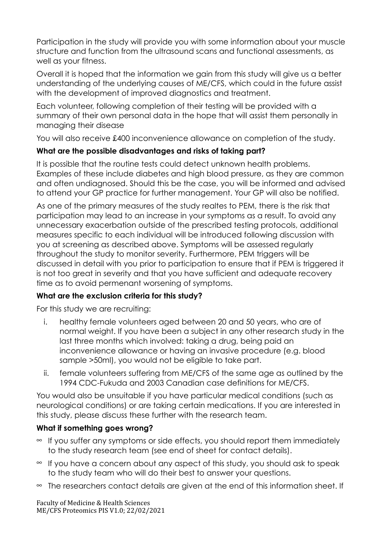Participation in the study will provide you with some information about your muscle structure and function from the ultrasound scans and functional assessments, as well as your fitness.

Overall it is hoped that the information we gain from this study will give us a better understanding of the underlying causes of ME/CFS, which could in the future assist with the development of improved diagnostics and treatment.

Each volunteer, following completion of their testing will be provided with a summary of their own personal data in the hope that will assist them personally in managing their disease

You will also receive £400 inconvenience allowance on completion of the study.

# **What are the possible disadvantages and risks of taking part?**

It is possible that the routine tests could detect unknown health problems. Examples of these include diabetes and high blood pressure, as they are common and often undiagnosed. Should this be the case, you will be informed and advised to attend your GP practice for further management. Your GP will also be notified.

As one of the primary measures of the study realtes to PEM, there is the risk that participation may lead to an increase in your symptoms as a result. To avoid any unnecessary exacerbation outside of the prescribed testing protocols, additional measures specific to each individual will be introduced following discussion with you at screening as described above. Symptoms will be assessed regularly throughout the study to monitor severity. Furthermore, PEM triggers will be discussed in detail with you prior to participation to ensure that if PEM is triggered it is not too great in severity and that you have sufficient and adequate recovery time as to avoid permenant worsening of symptoms.

## **What are the exclusion criteria for this study?**

For this study we are recruiting:

- i. healthy female volunteers aged between 20 and 50 years, who are of normal weight. If you have been a subject in any other research study in the last three months which involved: taking a drug, being paid an inconvenience allowance or having an invasive procedure (e.g. blood sample >50ml), you would not be eligible to take part.
- ii. female volunteers suffering from ME/CFS of the same age as outlined by the 1994 CDC-Fukuda and 2003 Canadian case definitions for ME/CFS.

You would also be unsuitable if you have particular medical conditions (such as neurological conditions) or are taking certain medications. If you are interested in this study, please discuss these further with the research team.

## **What if something goes wrong?**

- $\approx$  If you suffer any symptoms or side effects, you should report them immediately to the study research team (see end of sheet for contact details).
- $\approx$  If you have a concern about any aspect of this study, you should ask to speak to the study team who will do their best to answer your questions.
- $\infty$  The researchers contact details are given at the end of this information sheet. If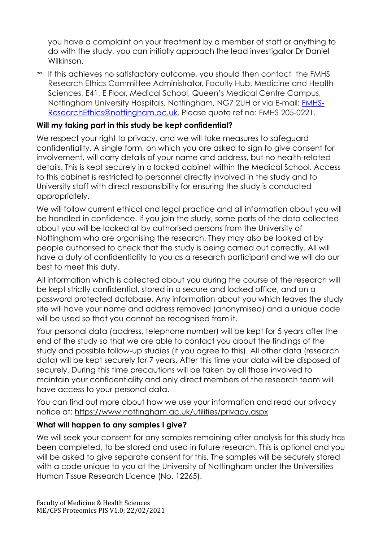you have a complaint on your treatment by a member of staff or anything to do with the study, you can initially approach the lead investigator Dr Daniel Wilkinson.

 $\approx$  If this achieves no satisfactory outcome, you should then contact the FMHS Research Ethics Committee Administrator, Faculty Hub, Medicine and Health Sciences, E41, E Floor, Medical School, Queen's Medical Centre Campus, Nottingham University Hospitals, Nottingham, NG7 2UH or via E-mail: [FMHS-](mailto:FMHS-ResearchEthics@nottingham.ac.uk)[ResearchEthics@nottingham.ac.uk.](mailto:FMHS-ResearchEthics@nottingham.ac.uk) Please quote ref no: FMHS 205-0221.

### **Will my taking part in this study be kept confidential?**

We respect your right to privacy, and we will take measures to safeguard confidentiality. A single form, on which you are asked to sign to give consent for involvement, will carry details of your name and address, but no health-related details. This is kept securely in a locked cabinet within the Medical School. Access to this cabinet is restricted to personnel directly involved in the study and to University staff with direct responsibility for ensuring the study is conducted appropriately.

We will follow current ethical and legal practice and all information about you will be handled in confidence. If you join the study, some parts of the data collected about you will be looked at by authorised persons from the University of Nottingham who are organising the research. They may also be looked at by people authorised to check that the study is being carried out correctly. All will have a duty of confidentiality to you as a research participant and we will do our best to meet this duty.

All information which is collected about you during the course of the research will be kept strictly confidential, stored in a secure and locked office, and on a password protected database. Any information about you which leaves the study site will have your name and address removed (anonymised) and a unique code will be used so that you cannot be recognised from it.

Your personal data (address, telephone number) will be kept for 5 years after the end of the study so that we are able to contact you about the findings of the study and possible follow-up studies (if you agree to this). All other data (research data) will be kept securely for 7 years. After this time your data will be disposed of securely. During this time precautions will be taken by all those involved to maintain your confidentiality and only direct members of the research team will have access to your personal data.

You can find out more about how we use your information and read our privacy notice at:<https://www.nottingham.ac.uk/utilities/privacy.aspx>

#### **What will happen to any samples I give?**

We will seek your consent for any samples remaining after analysis for this study has been completed, to be stored and used in future research. This is optional and you will be asked to give separate consent for this. The samples will be securely stored with a code unique to you at the University of Nottingham under the Universities Human Tissue Research Licence (No. 12265).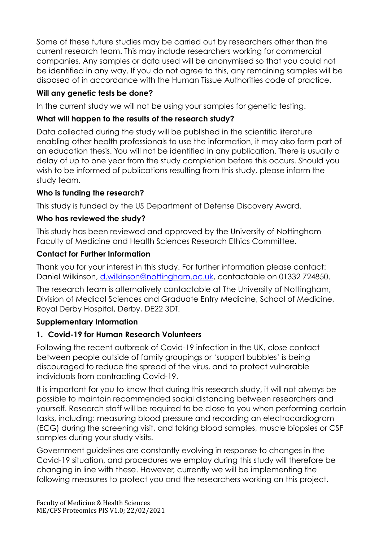Some of these future studies may be carried out by researchers other than the current research team. This may include researchers working for commercial companies. Any samples or data used will be anonymised so that you could not be identified in any way. If you do not agree to this, any remaining samples will be disposed of in accordance with the Human Tissue Authorities code of practice.

# **Will any genetic tests be done?**

In the current study we will not be using your samples for genetic testing.

# **What will happen to the results of the research study?**

Data collected during the study will be published in the scientific literature enabling other health professionals to use the information, it may also form part of an education thesis. You will not be identified in any publication. There is usually a delay of up to one year from the study completion before this occurs. Should you wish to be informed of publications resulting from this study, please inform the study team.

## **Who is funding the research?**

This study is funded by the US Department of Defense Discovery Award.

## **Who has reviewed the study?**

This study has been reviewed and approved by the University of Nottingham Faculty of Medicine and Health Sciences Research Ethics Committee.

## **Contact for Further Information**

Thank you for your interest in this study. For further information please contact: Daniel Wilkinson, [d.wilkinson@nottingham.ac.uk,](mailto:d.wilkinson@nottingham.ac.uk) contactable on 01332 724850.

The research team is alternatively contactable at The University of Nottingham, Division of Medical Sciences and Graduate Entry Medicine, School of Medicine, Royal Derby Hospital, Derby, DE22 3DT.

## **Supplementary Information**

## **1. Covid-19 for Human Research Volunteers**

Following the recent outbreak of Covid-19 infection in the UK, close contact between people outside of family groupings or 'support bubbles' is being discouraged to reduce the spread of the virus, and to protect vulnerable individuals from contracting Covid-19.

It is important for you to know that during this research study, it will not always be possible to maintain recommended social distancing between researchers and yourself. Research staff will be required to be close to you when performing certain tasks, including: measuring blood pressure and recording an electrocardiogram (ECG) during the screening visit, and taking blood samples, muscle biopsies or CSF samples during your study visits.

Government guidelines are constantly evolving in response to changes in the Covid-19 situation, and procedures we employ during this study will therefore be changing in line with these. However, currently we will be implementing the following measures to protect you and the researchers working on this project.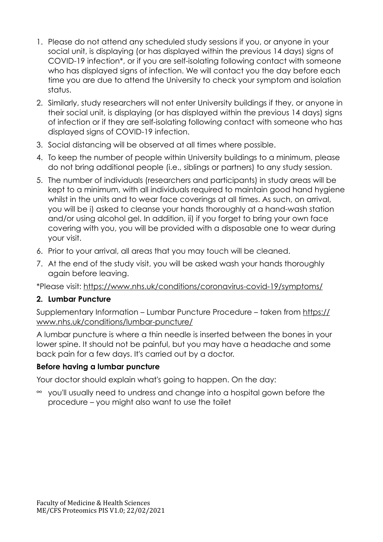- 1. Please do not attend any scheduled study sessions if you, or anyone in your social unit, is displaying (or has displayed within the previous 14 days) signs of COVID-19 infection\*, or if you are self-isolating following contact with someone who has displayed signs of infection. We will contact you the day before each time you are due to attend the University to check your symptom and isolation status.
- 2. Similarly, study researchers will not enter University buildings if they, or anyone in their social unit, is displaying (or has displayed within the previous 14 days) signs of infection or if they are self-isolating following contact with someone who has displayed signs of COVID-19 infection.
- 3. Social distancing will be observed at all times where possible.
- 4. To keep the number of people within University buildings to a minimum, please do not bring additional people (i.e., siblings or partners) to any study session.
- 5. The number of individuals (researchers and participants) in study areas will be kept to a minimum, with all individuals required to maintain good hand hygiene whilst in the units and to wear face coverings at all times. As such, on arrival, you will be i) asked to cleanse your hands thoroughly at a hand-wash station and/or using alcohol gel. In addition, ii) if you forget to bring your own face covering with you, you will be provided with a disposable one to wear during your visit.
- 6. Prior to your arrival, all areas that you may touch will be cleaned.
- 7. At the end of the study visit, you will be asked wash your hands thoroughly again before leaving.

\*Please visit: <https://www.nhs.uk/conditions/coronavirus-covid-19/symptoms/>

#### **2. Lumbar Puncture**

Supplementary Information – Lumbar Puncture Procedure – taken from [https://](https://www.nhs.uk/conditions/lumbar-puncture/) [www.nhs.uk/conditions/lumbar-puncture/](https://www.nhs.uk/conditions/lumbar-puncture/)

A lumbar puncture is where a thin needle is inserted between the bones in your lower spine. It should not be painful, but you may have a headache and some back pain for a few days. It's carried out by a doctor.

### **Before having a lumbar puncture**

Your doctor should explain what's going to happen. On the day:

 $\approx$  you'll usually need to undress and change into a hospital gown before the procedure – you might also want to use the toilet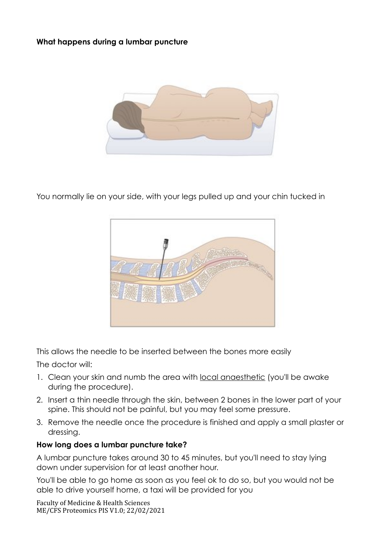### **What happens during a lumbar puncture**



You normally lie on your side, with your legs pulled up and your chin tucked in



This allows the needle to be inserted between the bones more easily

The doctor will:

- 1. Clean your skin and numb the area with [local anaesthetic](https://www.nhs.uk/conditions/local-anaesthesia/) (you'll be awake during the procedure).
- 2. Insert a thin needle through the skin, between 2 bones in the lower part of your spine. This should not be painful, but you may feel some pressure.
- 3. Remove the needle once the procedure is finished and apply a small plaster or dressing.

#### **How long does a lumbar puncture take?**

A lumbar puncture takes around 30 to 45 minutes, but you'll need to stay lying down under supervision for at least another hour.

You'll be able to go home as soon as you feel ok to do so, but you would not be able to drive yourself home, a taxi will be provided for you